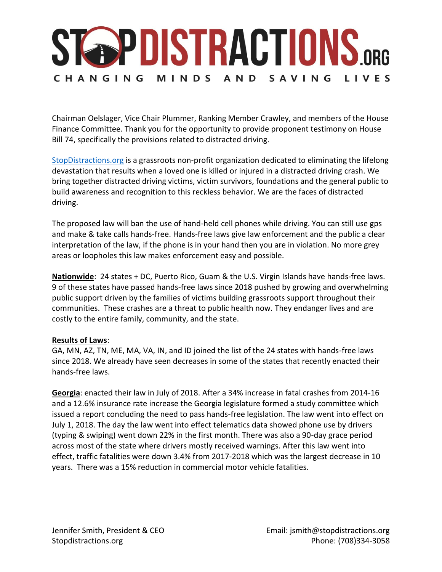# **STAPDISTRACTIONS.ORG** CHANGING MINDS AND SAVING LIVES

Chairman Oelslager, Vice Chair Plummer, Ranking Member Crawley, and members of the House Finance Committee. Thank you for the opportunity to provide proponent testimony on House Bill 74, specifically the provisions related to distracted driving.

[StopDistractions.org](https://urldefense.proofpoint.com/v2/url?u=http-3A__stopdistractions.org_&d=DwMFaQ&c=zH6k6LyJoTmHTo5Lb3PSiQ&r=eNDMLSrP5LZtRcdMPAcjveAILRHWhoOfIZGOO0j_9tA&m=6n3NuxOTbmff6_alDqT7j_PvuAonZZfrVU_QFM1kmfk&s=6PQpr07nz4DEF_WrCHte4o4-bUlHUFVfzxOZ6dtoGjk&e=) is a grassroots non-profit organization dedicated to eliminating the lifelong devastation that results when a loved one is killed or injured in a distracted driving crash. We bring together distracted driving victims, victim survivors, foundations and the general public to build awareness and recognition to this reckless behavior. We are the faces of distracted driving.

The proposed law will ban the use of hand-held cell phones while driving. You can still use gps and make & take calls hands-free. Hands-free laws give law enforcement and the public a clear interpretation of the law, if the phone is in your hand then you are in violation. No more grey areas or loopholes this law makes enforcement easy and possible.

**Nationwide**: 24 states + DC, Puerto Rico, Guam & the U.S. Virgin Islands have hands-free laws. 9 of these states have passed hands-free laws since 2018 pushed by growing and overwhelming public support driven by the families of victims building grassroots support throughout their communities. These crashes are a threat to public health now. They endanger lives and are costly to the entire family, community, and the state.

#### **Results of Laws**:

GA, MN, AZ, TN, ME, MA, VA, IN, and ID joined the list of the 24 states with hands-free laws since 2018. We already have seen decreases in some of the states that recently enacted their hands-free laws.

**Georgia**: enacted their law in July of 2018. After a 34% increase in fatal crashes from 2014-16 and a 12.6% insurance rate increase the Georgia legislature formed a study committee which issued a report concluding the need to pass hands-free legislation. The law went into effect on July 1, 2018. The day the law went into effect telematics data showed phone use by drivers (typing & swiping) went down 22% in the first month. There was also a 90-day grace period across most of the state where drivers mostly received warnings. After this law went into effect, traffic fatalities were down 3.4% from 2017-2018 which was the largest decrease in 10 years. There was a 15% reduction in commercial motor vehicle fatalities.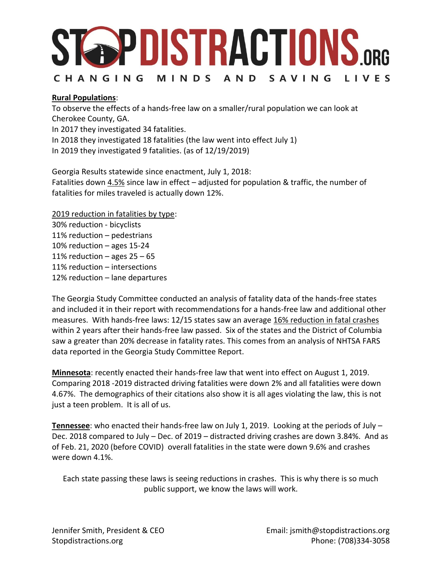### **STAPDISTRACTIONS.ORG** CHANGING MINDS AND SAVING LIVES

### **Rural Populations**:

To observe the effects of a hands-free law on a smaller/rural population we can look at Cherokee County, GA.

In 2017 they investigated 34 fatalities.

In 2018 they investigated 18 fatalities (the law went into effect July 1)

In 2019 they investigated 9 fatalities. (as of 12/19/2019)

Georgia Results statewide since enactment, July 1, 2018: Fatalities down  $4.5\%$  since law in effect – adjusted for population & traffic, the number of fatalities for miles traveled is actually down 12%.

2019 reduction in fatalities by type:

30% reduction - bicyclists 11% reduction – pedestrians 10% reduction – ages 15-24 11% reduction  $-$  ages 25  $-65$ 11% reduction – intersections 12% reduction – lane departures

The Georgia Study Committee conducted an analysis of fatality data of the hands-free states and included it in their report with recommendations for a hands-free law and additional other measures. With hands-free laws: 12/15 states saw an average 16% reduction in fatal crashes within 2 years after their hands-free law passed. Six of the states and the District of Columbia saw a greater than 20% decrease in fatality rates. This comes from an analysis of NHTSA FARS data reported in the Georgia Study Committee Report.

**Minnesota**: recently enacted their hands-free law that went into effect on August 1, 2019. Comparing 2018 -2019 distracted driving fatalities were down 2% and all fatalities were down 4.67%. The demographics of their citations also show it is all ages violating the law, this is not just a teen problem. It is all of us.

**Tennessee**: who enacted their hands-free law on July 1, 2019. Looking at the periods of July – Dec. 2018 compared to July – Dec. of 2019 – distracted driving crashes are down 3.84%. And as of Feb. 21, 2020 (before COVID) overall fatalities in the state were down 9.6% and crashes were down 4.1%.

Each state passing these laws is seeing reductions in crashes. This is why there is so much public support, we know the laws will work.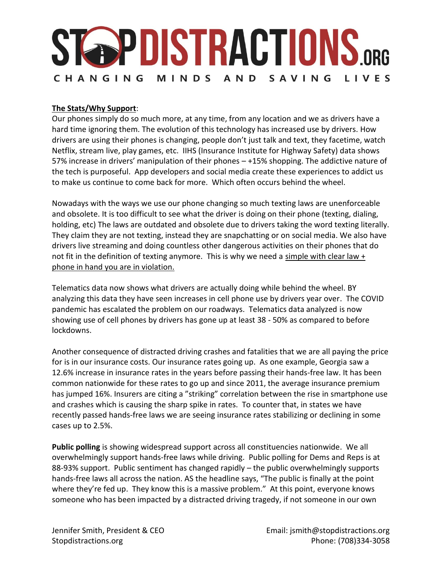# **STOPDISTRACTIONS.ORG** CHANGING MINDS AND SAVING LIVES

#### **The Stats/Why Support**:

Our phones simply do so much more, at any time, from any location and we as drivers have a hard time ignoring them. The evolution of this technology has increased use by drivers. How drivers are using their phones is changing, people don't just talk and text, they facetime, watch Netflix, stream live, play games, etc. IIHS (Insurance Institute for Highway Safety) data shows 57% increase in drivers' manipulation of their phones – +15% shopping. The addictive nature of the tech is purposeful. App developers and social media create these experiences to addict us to make us continue to come back for more. Which often occurs behind the wheel.

Nowadays with the ways we use our phone changing so much texting laws are unenforceable and obsolete. It is too difficult to see what the driver is doing on their phone (texting, dialing, holding, etc) The laws are outdated and obsolete due to drivers taking the word texting literally. They claim they are not texting, instead they are snapchatting or on social media. We also have drivers live streaming and doing countless other dangerous activities on their phones that do not fit in the definition of texting anymore. This is why we need a simple with clear law + phone in hand you are in violation.

Telematics data now shows what drivers are actually doing while behind the wheel. BY analyzing this data they have seen increases in cell phone use by drivers year over. The COVID pandemic has escalated the problem on our roadways. Telematics data analyzed is now showing use of cell phones by drivers has gone up at least 38 - 50% as compared to before lockdowns.

Another consequence of distracted driving crashes and fatalities that we are all paying the price for is in our insurance costs. Our insurance rates going up. As one example, Georgia saw a 12.6% increase in insurance rates in the years before passing their hands-free law. It has been common nationwide for these rates to go up and since 2011, the average insurance premium has jumped 16%. Insurers are citing a "striking" correlation between the rise in smartphone use and crashes which is causing the sharp spike in rates. To counter that, in states we have recently passed hands-free laws we are seeing insurance rates stabilizing or declining in some cases up to 2.5%.

**Public polling** is showing widespread support across all constituencies nationwide. We all overwhelmingly support hands-free laws while driving. Public polling for Dems and Reps is at 88-93% support. Public sentiment has changed rapidly – the public overwhelmingly supports hands-free laws all across the nation. AS the headline says, "The public is finally at the point where they're fed up. They know this is a massive problem." At this point, everyone knows someone who has been impacted by a distracted driving tragedy, if not someone in our own